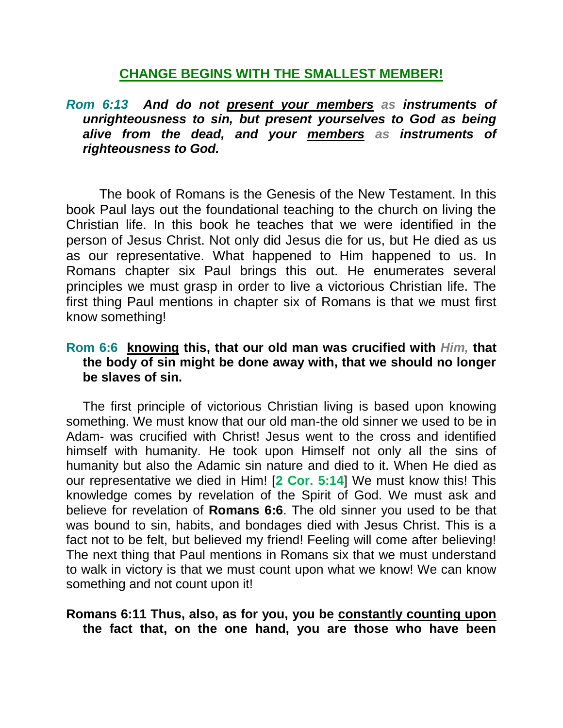# **CHANGE BEGINS WITH THE SMALLEST MEMBER!**

*Rom 6:13 And do not present your members as instruments of unrighteousness to sin, but present yourselves to God as being alive from the dead, and your members as instruments of righteousness to God.* 

The book of Romans is the Genesis of the New Testament. In this book Paul lays out the foundational teaching to the church on living the Christian life. In this book he teaches that we were identified in the person of Jesus Christ. Not only did Jesus die for us, but He died as us as our representative. What happened to Him happened to us. In Romans chapter six Paul brings this out. He enumerates several principles we must grasp in order to live a victorious Christian life. The first thing Paul mentions in chapter six of Romans is that we must first know something!

# **Rom 6:6 knowing this, that our old man was crucified with** *Him,* **that the body of sin might be done away with, that we should no longer be slaves of sin.**

The first principle of victorious Christian living is based upon knowing something. We must know that our old man-the old sinner we used to be in Adam- was crucified with Christ! Jesus went to the cross and identified himself with humanity. He took upon Himself not only all the sins of humanity but also the Adamic sin nature and died to it. When He died as our representative we died in Him! [**2 Cor. 5:14**] We must know this! This knowledge comes by revelation of the Spirit of God. We must ask and believe for revelation of **Romans 6:6**. The old sinner you used to be that was bound to sin, habits, and bondages died with Jesus Christ. This is a fact not to be felt, but believed my friend! Feeling will come after believing! The next thing that Paul mentions in Romans six that we must understand to walk in victory is that we must count upon what we know! We can know something and not count upon it!

#### **Romans 6:11 Thus, also, as for you, you be constantly counting upon the fact that, on the one hand, you are those who have been**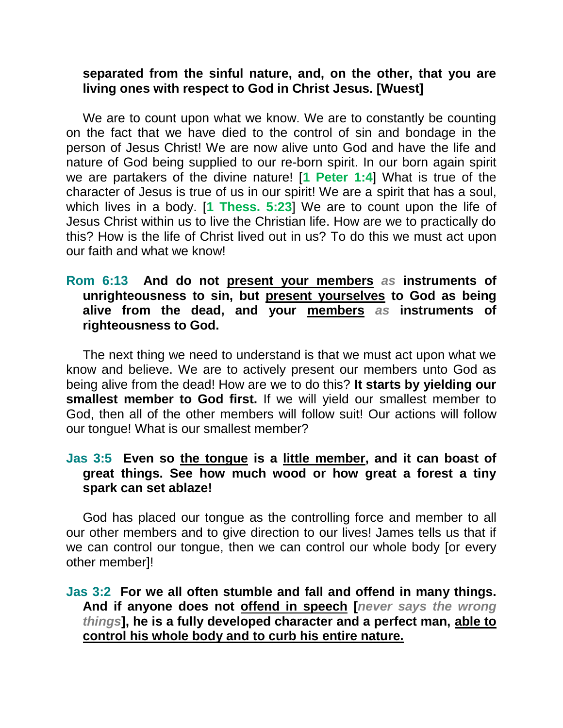### **separated from the sinful nature, and, on the other, that you are living ones with respect to God in Christ Jesus. [Wuest]**

We are to count upon what we know. We are to constantly be counting on the fact that we have died to the control of sin and bondage in the person of Jesus Christ! We are now alive unto God and have the life and nature of God being supplied to our re-born spirit. In our born again spirit we are partakers of the divine nature! [**1 Peter 1:4**] What is true of the character of Jesus is true of us in our spirit! We are a spirit that has a soul, which lives in a body. [**1 Thess. 5:23**] We are to count upon the life of Jesus Christ within us to live the Christian life. How are we to practically do this? How is the life of Christ lived out in us? To do this we must act upon our faith and what we know!

### **Rom 6:13 And do not present your members** *as* **instruments of unrighteousness to sin, but present yourselves to God as being alive from the dead, and your members** *as* **instruments of righteousness to God.**

The next thing we need to understand is that we must act upon what we know and believe. We are to actively present our members unto God as being alive from the dead! How are we to do this? **It starts by yielding our smallest member to God first.** If we will yield our smallest member to God, then all of the other members will follow suit! Our actions will follow our tongue! What is our smallest member?

# **Jas 3:5 Even so the tongue is a little member, and it can boast of great things. See how much wood or how great a forest a tiny spark can set ablaze!**

God has placed our tongue as the controlling force and member to all our other members and to give direction to our lives! James tells us that if we can control our tongue, then we can control our whole body [or every other member]!

**Jas 3:2 For we all often stumble and fall and offend in many things. And if anyone does not offend in speech [***never says the wrong things***], he is a fully developed character and a perfect man, able to control his whole body and to curb his entire nature.**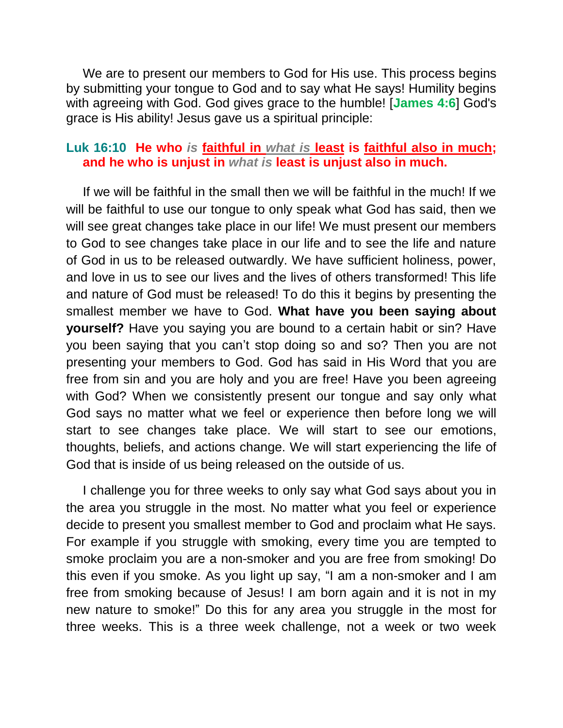We are to present our members to God for His use. This process begins by submitting your tongue to God and to say what He says! Humility begins with agreeing with God. God gives grace to the humble! [**James 4:6**] God's grace is His ability! Jesus gave us a spiritual principle:

#### **Luk 16:10 He who** *is* **faithful in** *what is* **least is faithful also in much; and he who is unjust in** *what is* **least is unjust also in much.**

If we will be faithful in the small then we will be faithful in the much! If we will be faithful to use our tongue to only speak what God has said, then we will see great changes take place in our life! We must present our members to God to see changes take place in our life and to see the life and nature of God in us to be released outwardly. We have sufficient holiness, power, and love in us to see our lives and the lives of others transformed! This life and nature of God must be released! To do this it begins by presenting the smallest member we have to God. **What have you been saying about yourself?** Have you saying you are bound to a certain habit or sin? Have you been saying that you can't stop doing so and so? Then you are not presenting your members to God. God has said in His Word that you are free from sin and you are holy and you are free! Have you been agreeing with God? When we consistently present our tongue and say only what God says no matter what we feel or experience then before long we will start to see changes take place. We will start to see our emotions, thoughts, beliefs, and actions change. We will start experiencing the life of God that is inside of us being released on the outside of us.

I challenge you for three weeks to only say what God says about you in the area you struggle in the most. No matter what you feel or experience decide to present you smallest member to God and proclaim what He says. For example if you struggle with smoking, every time you are tempted to smoke proclaim you are a non-smoker and you are free from smoking! Do this even if you smoke. As you light up say, "I am a non-smoker and I am free from smoking because of Jesus! I am born again and it is not in my new nature to smoke!" Do this for any area you struggle in the most for three weeks. This is a three week challenge, not a week or two week